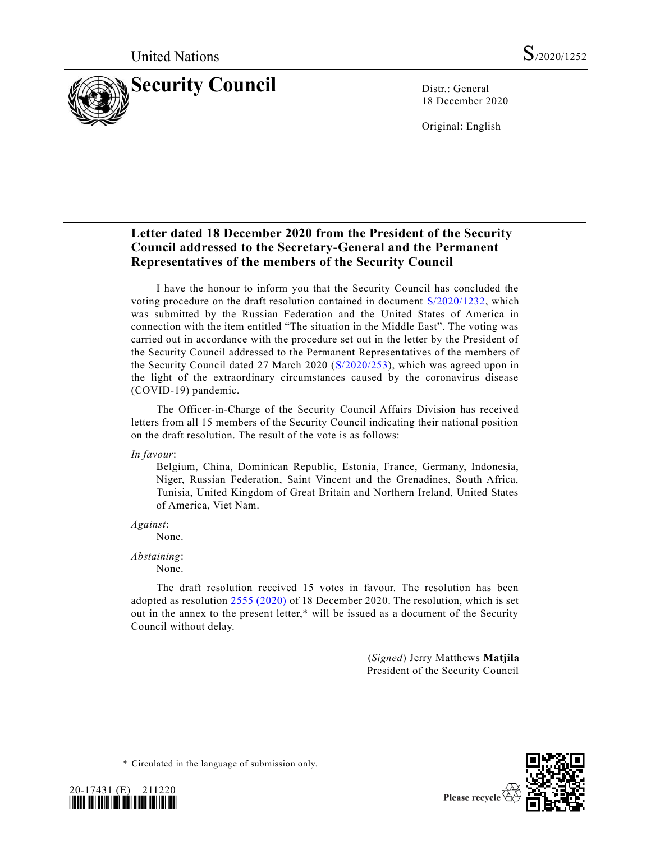

18 December 2020

Original: English

# **Letter dated 18 December 2020 from the President of the Security Council addressed to the Secretary-General and the Permanent Representatives of the members of the Security Council**

I have the honour to inform you that the Security Council has concluded the voting procedure on the draft resolution contained in document [S/2020/1232,](https://undocs.org/en/S/2020/1232) which was submitted by the Russian Federation and the United States of America in connection with the item entitled "The situation in the Middle East". The voting was carried out in accordance with the procedure set out in the letter by the President of the Security Council addressed to the Permanent Representatives of the members of the Security Council dated 27 March 2020 [\(S/2020/253\)](https://undocs.org/en/S/2020/253), which was agreed upon in the light of the extraordinary circumstances caused by the coronavirus disease (COVID-19) pandemic.

The Officer-in-Charge of the Security Council Affairs Division has received letters from all 15 members of the Security Council indicating their national position on the draft resolution. The result of the vote is as follows:

*In favour*:

Belgium, China, Dominican Republic, Estonia, France, Germany, Indonesia, Niger, Russian Federation, Saint Vincent and the Grenadines, South Africa, Tunisia, United Kingdom of Great Britain and Northern Ireland, United States of America, Viet Nam.

*Against*:

None.

*Abstaining*:

None.

The draft resolution received 15 votes in favour. The resolution has been adopted as resolution [2555 \(2020\)](https://undocs.org/en/S/RES/2555(2020)) of 18 December 2020. The resolution, which is set out in the annex to the present letter,\* will be issued as a document of the Security Council without delay.

> (*Signed*) Jerry Matthews **Matjila** President of the Security Council

\* Circulated in the language of submission only.



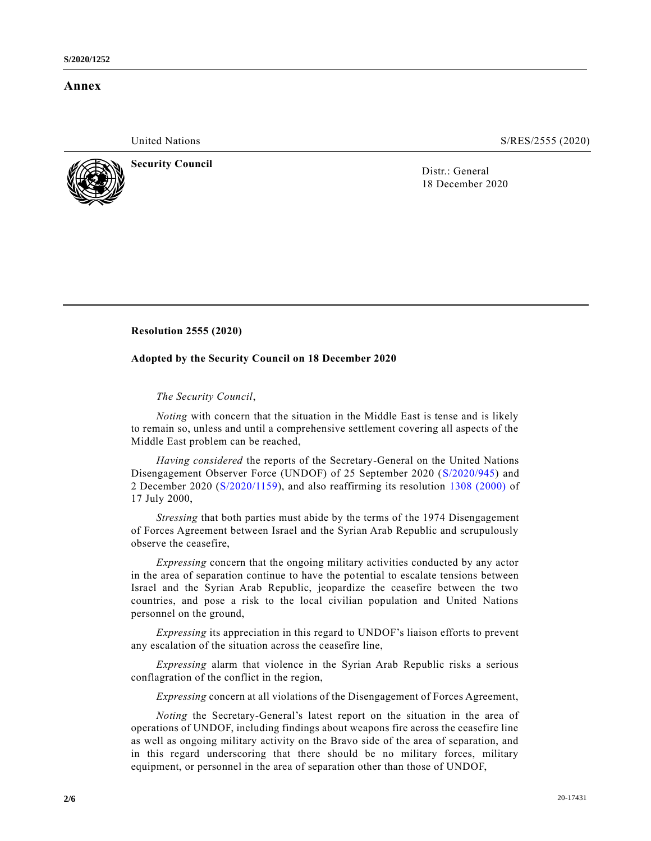## **Annex**

United Nations S/RES/2555 (2020)



**Security Council Security Council Distrement in the U** District General

18 December 2020

## **Resolution 2555 (2020)**

### **Adopted by the Security Council on 18 December 2020**

### *The Security Council*,

*Noting* with concern that the situation in the Middle East is tense and is likely to remain so, unless and until a comprehensive settlement covering all aspects of the Middle East problem can be reached,

*Having considered* the reports of the Secretary-General on the United Nations Disengagement Observer Force (UNDOF) of 25 September 2020 [\(S/2020/945\)](https://undocs.org/en/S/2020/945) and 2 December 2020 [\(S/2020/1159\)](https://undocs.org/en/S/2020/1159), and also reaffirming its resolution [1308 \(2000\)](https://undocs.org/en/S/RES/1308(2000)) of 17 July 2000,

*Stressing* that both parties must abide by the terms of the 1974 Disengagement of Forces Agreement between Israel and the Syrian Arab Republic and scrupulously observe the ceasefire,

*Expressing* concern that the ongoing military activities conducted by any actor in the area of separation continue to have the potential to escalate tensions between Israel and the Syrian Arab Republic, jeopardize the ceasefire between the two countries, and pose a risk to the local civilian population and United Nations personnel on the ground,

*Expressing* its appreciation in this regard to UNDOF's liaison efforts to prevent any escalation of the situation across the ceasefire line,

*Expressing* alarm that violence in the Syrian Arab Republic risks a serious conflagration of the conflict in the region,

*Expressing* concern at all violations of the Disengagement of Forces Agreement,

*Noting* the Secretary-General's latest report on the situation in the area of operations of UNDOF, including findings about weapons fire across the ceasefire line as well as ongoing military activity on the Bravo side of the area of separation, and in this regard underscoring that there should be no military forces, military equipment, or personnel in the area of separation other than those of UNDOF,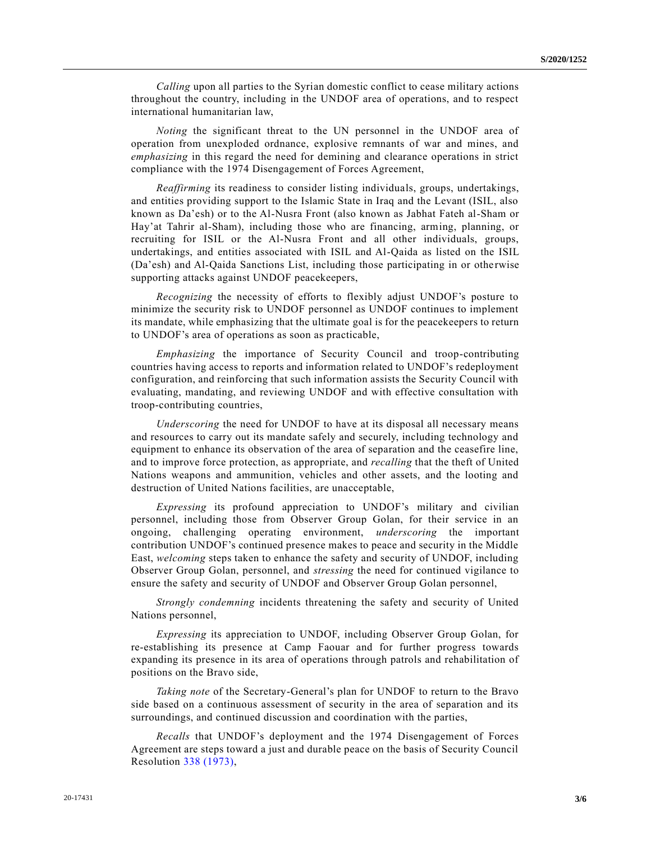*Calling* upon all parties to the Syrian domestic conflict to cease military actions throughout the country, including in the UNDOF area of operations, and to respect international humanitarian law,

*Noting* the significant threat to the UN personnel in the UNDOF area of operation from unexploded ordnance, explosive remnants of war and mines, and *emphasizing* in this regard the need for demining and clearance operations in strict compliance with the 1974 Disengagement of Forces Agreement,

*Reaffirming* its readiness to consider listing individuals, groups, undertakings, and entities providing support to the Islamic State in Iraq and the Levant (ISIL, also known as Da'esh) or to the Al-Nusra Front (also known as Jabhat Fateh al-Sham or Hay'at Tahrir al-Sham), including those who are financing, arming, planning, or recruiting for ISIL or the Al-Nusra Front and all other individuals, groups, undertakings, and entities associated with ISIL and Al-Qaida as listed on the ISIL (Da'esh) and Al-Qaida Sanctions List, including those participating in or otherwise supporting attacks against UNDOF peacekeepers,

*Recognizing* the necessity of efforts to flexibly adjust UNDOF's posture to minimize the security risk to UNDOF personnel as UNDOF continues to implement its mandate, while emphasizing that the ultimate goal is for the peacekeepers to return to UNDOF's area of operations as soon as practicable,

*Emphasizing* the importance of Security Council and troop-contributing countries having access to reports and information related to UNDOF's redeployment configuration, and reinforcing that such information assists the Security Council with evaluating, mandating, and reviewing UNDOF and with effective consultation with troop-contributing countries,

*Underscoring* the need for UNDOF to have at its disposal all necessary means and resources to carry out its mandate safely and securely, including technology and equipment to enhance its observation of the area of separation and the ceasefire line, and to improve force protection, as appropriate, and *recalling* that the theft of United Nations weapons and ammunition, vehicles and other assets, and the looting and destruction of United Nations facilities, are unacceptable,

*Expressing* its profound appreciation to UNDOF's military and civilian personnel, including those from Observer Group Golan, for their service in an ongoing, challenging operating environment, *underscoring* the important contribution UNDOF's continued presence makes to peace and security in the Middle East, *welcoming* steps taken to enhance the safety and security of UNDOF, including Observer Group Golan, personnel, and *stressing* the need for continued vigilance to ensure the safety and security of UNDOF and Observer Group Golan personnel,

*Strongly condemning* incidents threatening the safety and security of United Nations personnel,

*Expressing* its appreciation to UNDOF, including Observer Group Golan, for re-establishing its presence at Camp Faouar and for further progress towards expanding its presence in its area of operations through patrols and rehabilitation of positions on the Bravo side,

*Taking note* of the Secretary-General's plan for UNDOF to return to the Bravo side based on a continuous assessment of security in the area of separation and its surroundings, and continued discussion and coordination with the parties,

*Recalls* that UNDOF's deployment and the 1974 Disengagement of Forces Agreement are steps toward a just and durable peace on the basis of Security Council Resolution [338 \(1973\),](https://undocs.org/en/S/RES/338(1973))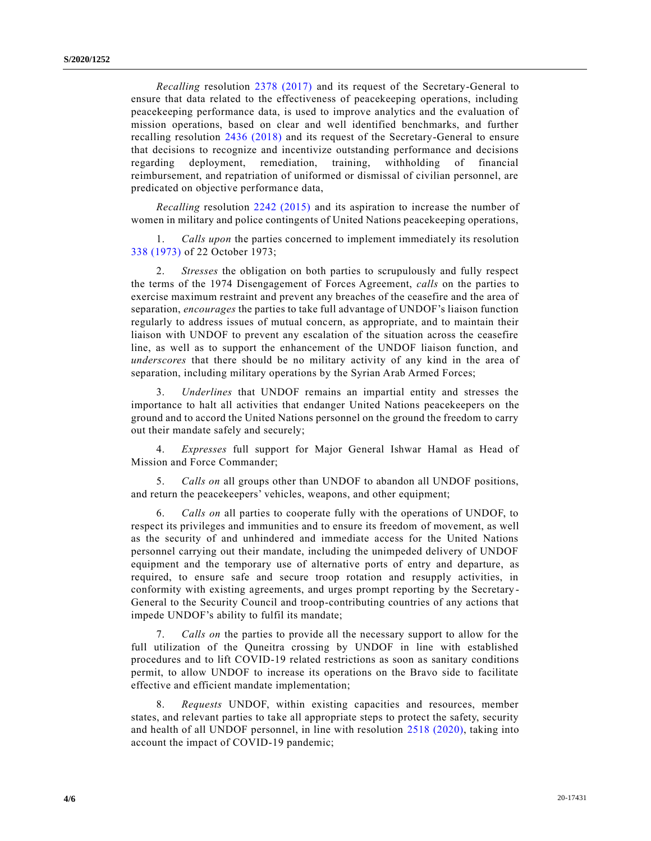*Recalling* resolution [2378 \(2017\)](https://undocs.org/en/S/RES/2378(2017)) and its request of the Secretary-General to ensure that data related to the effectiveness of peacekeeping operations, including peacekeeping performance data, is used to improve analytics and the evaluation of mission operations, based on clear and well identified benchmarks, and further recalling resolution [2436 \(2018\)](https://undocs.org/en/S/RES/2436(2018)) and its request of the Secretary-General to ensure that decisions to recognize and incentivize outstanding performance and decisions regarding deployment, remediation, training, withholding of financial reimbursement, and repatriation of uniformed or dismissal of civilian personnel, are predicated on objective performance data,

*Recalling* resolution [2242 \(2015\)](https://undocs.org/en/S/RES/2242(2015)) and its aspiration to increase the number of women in military and police contingents of United Nations peacekeeping operations,

1. *Calls upon* the parties concerned to implement immediately its resolution [338 \(1973\)](https://undocs.org/en/S/RES/338(1973)) of 22 October 1973;

2. *Stresses* the obligation on both parties to scrupulously and fully respect the terms of the 1974 Disengagement of Forces Agreement, *calls* on the parties to exercise maximum restraint and prevent any breaches of the ceasefire and the area of separation, *encourages* the parties to take full advantage of UNDOF's liaison function regularly to address issues of mutual concern, as appropriate, and to maintain their liaison with UNDOF to prevent any escalation of the situation across the ceasefire line, as well as to support the enhancement of the UNDOF liaison function, and *underscores* that there should be no military activity of any kind in the area of separation, including military operations by the Syrian Arab Armed Forces;

3. *Underlines* that UNDOF remains an impartial entity and stresses the importance to halt all activities that endanger United Nations peacekeepers on the ground and to accord the United Nations personnel on the ground the freedom to carry out their mandate safely and securely;

4. *Expresses* full support for Major General Ishwar Hamal as Head of Mission and Force Commander;

5. *Calls on* all groups other than UNDOF to abandon all UNDOF positions, and return the peacekeepers' vehicles, weapons, and other equipment;

6. *Calls on* all parties to cooperate fully with the operations of UNDOF, to respect its privileges and immunities and to ensure its freedom of movement, as well as the security of and unhindered and immediate access for the United Nations personnel carrying out their mandate, including the unimpeded delivery of UNDOF equipment and the temporary use of alternative ports of entry and departure, as required, to ensure safe and secure troop rotation and resupply activities, in conformity with existing agreements, and urges prompt reporting by the Secretary - General to the Security Council and troop-contributing countries of any actions that impede UNDOF's ability to fulfil its mandate;

7. *Calls on* the parties to provide all the necessary support to allow for the full utilization of the Quneitra crossing by UNDOF in line with established procedures and to lift COVID-19 related restrictions as soon as sanitary conditions permit, to allow UNDOF to increase its operations on the Bravo side to facilitate effective and efficient mandate implementation;

8. *Requests* UNDOF, within existing capacities and resources, member states, and relevant parties to take all appropriate steps to protect the safety, security and health of all UNDOF personnel, in line with resolution [2518 \(2020\),](https://undocs.org/en/S/RES/2518(2020)) taking into account the impact of COVID-19 pandemic;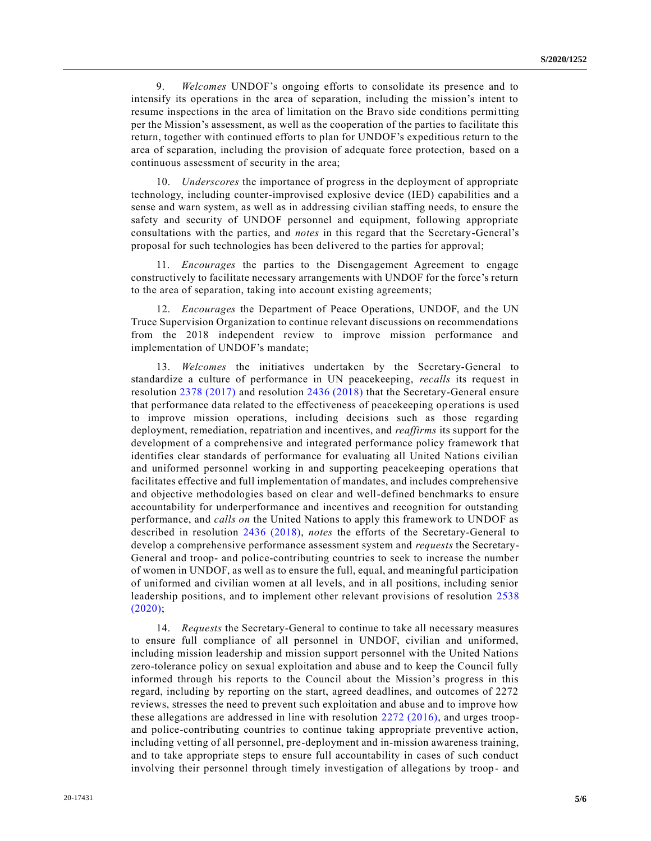9. *Welcomes* UNDOF's ongoing efforts to consolidate its presence and to intensify its operations in the area of separation, including the mission's intent to resume inspections in the area of limitation on the Bravo side conditions permitting per the Mission's assessment, as well as the cooperation of the parties to facilitate this return, together with continued efforts to plan for UNDOF's expeditious return to the area of separation, including the provision of adequate force protection, based on a continuous assessment of security in the area;

10. *Underscores* the importance of progress in the deployment of appropriate technology, including counter-improvised explosive device (IED) capabilities and a sense and warn system, as well as in addressing civilian staffing needs, to ensure the safety and security of UNDOF personnel and equipment, following appropriate consultations with the parties, and *notes* in this regard that the Secretary-General's proposal for such technologies has been delivered to the parties for approval;

11. *Encourages* the parties to the Disengagement Agreement to engage constructively to facilitate necessary arrangements with UNDOF for the force's return to the area of separation, taking into account existing agreements;

12. *Encourages* the Department of Peace Operations, UNDOF, and the UN Truce Supervision Organization to continue relevant discussions on recommendations from the 2018 independent review to improve mission performance and implementation of UNDOF's mandate;

13. *Welcomes* the initiatives undertaken by the Secretary-General to standardize a culture of performance in UN peacekeeping, *recalls* its request in resolution [2378 \(2017\)](https://undocs.org/en/S/RES/2378(2017)) and resolution [2436 \(2018\)](https://undocs.org/en/S/RES/2436(2018)) that the Secretary-General ensure that performance data related to the effectiveness of peacekeeping operations is used to improve mission operations, including decisions such as those regarding deployment, remediation, repatriation and incentives, and *reaffirms* its support for the development of a comprehensive and integrated performance policy framework t hat identifies clear standards of performance for evaluating all United Nations civilian and uniformed personnel working in and supporting peacekeeping operations that facilitates effective and full implementation of mandates, and includes comprehensive and objective methodologies based on clear and well-defined benchmarks to ensure accountability for underperformance and incentives and recognition for outstanding performance, and *calls on* the United Nations to apply this framework to UNDOF as described in resolution [2436 \(2018\),](https://undocs.org/en/S/RES/2436(2018)) *notes* the efforts of the Secretary-General to develop a comprehensive performance assessment system and *requests* the Secretary-General and troop- and police-contributing countries to seek to increase the number of women in UNDOF, as well as to ensure the full, equal, and meaningful participation of uniformed and civilian women at all levels, and in all positions, including senior leadership positions, and to implement other relevant provisions of resolution [2538](https://undocs.org/en/S/RES/2538(2020))  [\(2020\);](https://undocs.org/en/S/RES/2538(2020))

14. *Requests* the Secretary-General to continue to take all necessary measures to ensure full compliance of all personnel in UNDOF, civilian and uniformed, including mission leadership and mission support personnel with the United Nations zero-tolerance policy on sexual exploitation and abuse and to keep the Council fully informed through his reports to the Council about the Mission's progress in this regard, including by reporting on the start, agreed deadlines, and outcomes of 2272 reviews, stresses the need to prevent such exploitation and abuse and to improve how these allegations are addressed in line with resolution [2272 \(2016\),](https://undocs.org/en/S/RES/2272(2016)) and urges troopand police-contributing countries to continue taking appropriate preventive action, including vetting of all personnel, pre-deployment and in-mission awareness training, and to take appropriate steps to ensure full accountability in cases of such conduct involving their personnel through timely investigation of allegations by troop- and